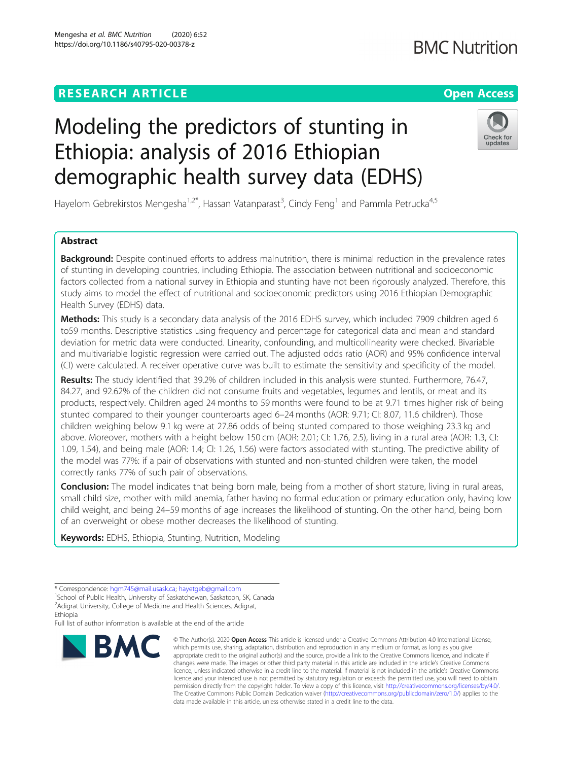# **RESEARCH ARTICLE Example 2014 12:30 The Contract of Contract ACCESS**

# Modeling the predictors of stunting in Ethiopia: analysis of 2016 Ethiopian demographic health survey data (EDHS)

Hayelom Gebrekirstos Mengesha<sup>1,2\*</sup>, Hassan Vatanparast<sup>3</sup>, Cindy Feng<sup>1</sup> and Pammla Petrucka<sup>4,5</sup>

# Abstract

Backaround: Despite continued efforts to address malnutrition, there is minimal reduction in the prevalence rates of stunting in developing countries, including Ethiopia. The association between nutritional and socioeconomic factors collected from a national survey in Ethiopia and stunting have not been rigorously analyzed. Therefore, this study aims to model the effect of nutritional and socioeconomic predictors using 2016 Ethiopian Demographic Health Survey (EDHS) data.

Methods: This study is a secondary data analysis of the 2016 EDHS survey, which included 7909 children aged 6 to59 months. Descriptive statistics using frequency and percentage for categorical data and mean and standard deviation for metric data were conducted. Linearity, confounding, and multicollinearity were checked. Bivariable and multivariable logistic regression were carried out. The adjusted odds ratio (AOR) and 95% confidence interval (CI) were calculated. A receiver operative curve was built to estimate the sensitivity and specificity of the model.

Results: The study identified that 39.2% of children included in this analysis were stunted. Furthermore, 76.47, 84.27, and 92.62% of the children did not consume fruits and vegetables, legumes and lentils, or meat and its products, respectively. Children aged 24 months to 59 months were found to be at 9.71 times higher risk of being stunted compared to their younger counterparts aged 6–24 months (AOR: 9.71; CI: 8.07, 11.6 children). Those children weighing below 9.1 kg were at 27.86 odds of being stunted compared to those weighing 23.3 kg and above. Moreover, mothers with a height below 150 cm (AOR: 2.01; CI: 1.76, 2.5), living in a rural area (AOR: 1.3, CI: 1.09, 1.54), and being male (AOR: 1.4; CI: 1.26, 1.56) were factors associated with stunting. The predictive ability of the model was 77%: if a pair of observations with stunted and non-stunted children were taken, the model correctly ranks 77% of such pair of observations.

**Conclusion:** The model indicates that being born male, being from a mother of short stature, living in rural areas, small child size, mother with mild anemia, father having no formal education or primary education only, having low child weight, and being 24–59 months of age increases the likelihood of stunting. On the other hand, being born of an overweight or obese mother decreases the likelihood of stunting.

Keywords: EDHS, Ethiopia, Stunting, Nutrition, Modeling

Full list of author information is available at the end of the article



<sup>©</sup> The Author(s), 2020 **Open Access** This article is licensed under a Creative Commons Attribution 4.0 International License, which permits use, sharing, adaptation, distribution and reproduction in any medium or format, as long as you give appropriate credit to the original author(s) and the source, provide a link to the Creative Commons licence, and indicate if changes were made. The images or other third party material in this article are included in the article's Creative Commons licence, unless indicated otherwise in a credit line to the material. If material is not included in the article's Creative Commons licence and your intended use is not permitted by statutory regulation or exceeds the permitted use, you will need to obtain permission directly from the copyright holder. To view a copy of this licence, visit [http://creativecommons.org/licenses/by/4.0/.](http://creativecommons.org/licenses/by/4.0/) The Creative Commons Public Domain Dedication waiver [\(http://creativecommons.org/publicdomain/zero/1.0/](http://creativecommons.org/publicdomain/zero/1.0/)) applies to the data made available in this article, unless otherwise stated in a credit line to the data.

**BMC Nutrition** 



<sup>\*</sup> Correspondence: [hgm745@mail.usask.ca](mailto:hgm745@mail.usask.ca); [hayetgeb@gmail.com](mailto:hayetgeb@gmail.com) <sup>1</sup>

<sup>&</sup>lt;sup>1</sup>School of Public Health, University of Saskatchewan, Saskatoon, SK, Canada <sup>2</sup> Adigrat University, College of Medicine and Health Sciences, Adigrat,

Ethiopia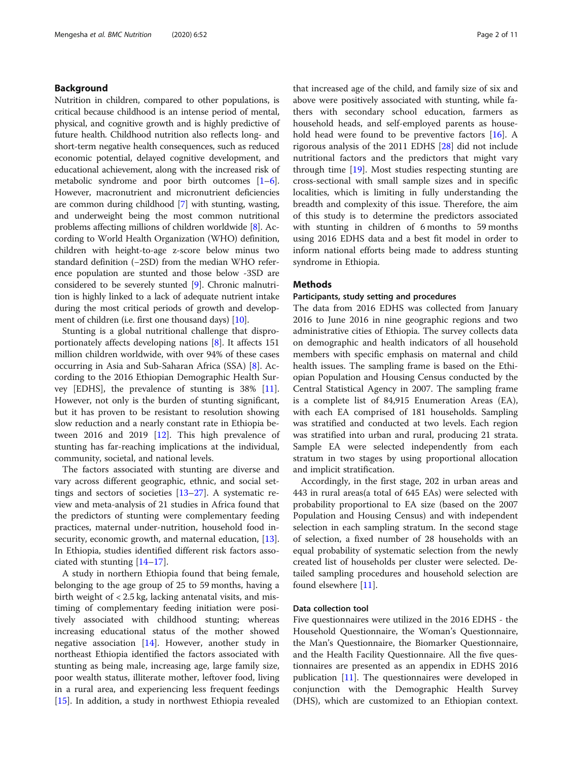### Background

Nutrition in children, compared to other populations, is critical because childhood is an intense period of mental, physical, and cognitive growth and is highly predictive of future health. Childhood nutrition also reflects long- and short-term negative health consequences, such as reduced economic potential, delayed cognitive development, and educational achievement, along with the increased risk of metabolic syndrome and poor birth outcomes [[1](#page-9-0)–[6](#page-9-0)]. However, macronutrient and micronutrient deficiencies are common during childhood [[7\]](#page-9-0) with stunting, wasting, and underweight being the most common nutritional problems affecting millions of children worldwide [[8\]](#page-9-0). According to World Health Organization (WHO) definition, children with height-to-age z-score below minus two standard definition (−2SD) from the median WHO reference population are stunted and those below -3SD are considered to be severely stunted [[9\]](#page-9-0). Chronic malnutrition is highly linked to a lack of adequate nutrient intake during the most critical periods of growth and develop-ment of children (i.e. first one thousand days) [\[10\]](#page-10-0).

Stunting is a global nutritional challenge that disproportionately affects developing nations [[8\]](#page-9-0). It affects 151 million children worldwide, with over 94% of these cases occurring in Asia and Sub-Saharan Africa (SSA) [\[8](#page-9-0)]. According to the 2016 Ethiopian Demographic Health Survey [EDHS], the prevalence of stunting is 38% [\[11](#page-10-0)]. However, not only is the burden of stunting significant, but it has proven to be resistant to resolution showing slow reduction and a nearly constant rate in Ethiopia between 2016 and 2019 [\[12](#page-10-0)]. This high prevalence of stunting has far-reaching implications at the individual, community, societal, and national levels.

The factors associated with stunting are diverse and vary across different geographic, ethnic, and social settings and sectors of societies [\[13](#page-10-0)–[27\]](#page-10-0). A systematic review and meta-analysis of 21 studies in Africa found that the predictors of stunting were complementary feeding practices, maternal under-nutrition, household food in-security, economic growth, and maternal education, [\[13](#page-10-0)]. In Ethiopia, studies identified different risk factors associated with stunting [\[14](#page-10-0)–[17\]](#page-10-0).

A study in northern Ethiopia found that being female, belonging to the age group of 25 to 59 months, having a birth weight of < 2.5 kg, lacking antenatal visits, and mistiming of complementary feeding initiation were positively associated with childhood stunting; whereas increasing educational status of the mother showed negative association [[14](#page-10-0)]. However, another study in northeast Ethiopia identified the factors associated with stunting as being male, increasing age, large family size, poor wealth status, illiterate mother, leftover food, living in a rural area, and experiencing less frequent feedings [[15\]](#page-10-0). In addition, a study in northwest Ethiopia revealed that increased age of the child, and family size of six and above were positively associated with stunting, while fathers with secondary school education, farmers as household heads, and self-employed parents as household head were found to be preventive factors [[16\]](#page-10-0). A rigorous analysis of the 2011 EDHS [[28\]](#page-10-0) did not include nutritional factors and the predictors that might vary through time [[19](#page-10-0)]. Most studies respecting stunting are cross-sectional with small sample sizes and in specific localities, which is limiting in fully understanding the breadth and complexity of this issue. Therefore, the aim of this study is to determine the predictors associated with stunting in children of 6 months to 59 months using 2016 EDHS data and a best fit model in order to inform national efforts being made to address stunting syndrome in Ethiopia.

#### **Methods**

#### Participants, study setting and procedures

The data from 2016 EDHS was collected from January 2016 to June 2016 in nine geographic regions and two administrative cities of Ethiopia. The survey collects data on demographic and health indicators of all household members with specific emphasis on maternal and child health issues. The sampling frame is based on the Ethiopian Population and Housing Census conducted by the Central Statistical Agency in 2007. The sampling frame is a complete list of 84,915 Enumeration Areas (EA), with each EA comprised of 181 households. Sampling was stratified and conducted at two levels. Each region was stratified into urban and rural, producing 21 strata. Sample EA were selected independently from each stratum in two stages by using proportional allocation and implicit stratification.

Accordingly, in the first stage, 202 in urban areas and 443 in rural areas(a total of 645 EAs) were selected with probability proportional to EA size (based on the 2007 Population and Housing Census) and with independent selection in each sampling stratum. In the second stage of selection, a fixed number of 28 households with an equal probability of systematic selection from the newly created list of households per cluster were selected. Detailed sampling procedures and household selection are found elsewhere [\[11](#page-10-0)].

### Data collection tool

Five questionnaires were utilized in the 2016 EDHS - the Household Questionnaire, the Woman's Questionnaire, the Man's Questionnaire, the Biomarker Questionnaire, and the Health Facility Questionnaire. All the five questionnaires are presented as an appendix in EDHS 2016 publication [[11\]](#page-10-0). The questionnaires were developed in conjunction with the Demographic Health Survey (DHS), which are customized to an Ethiopian context.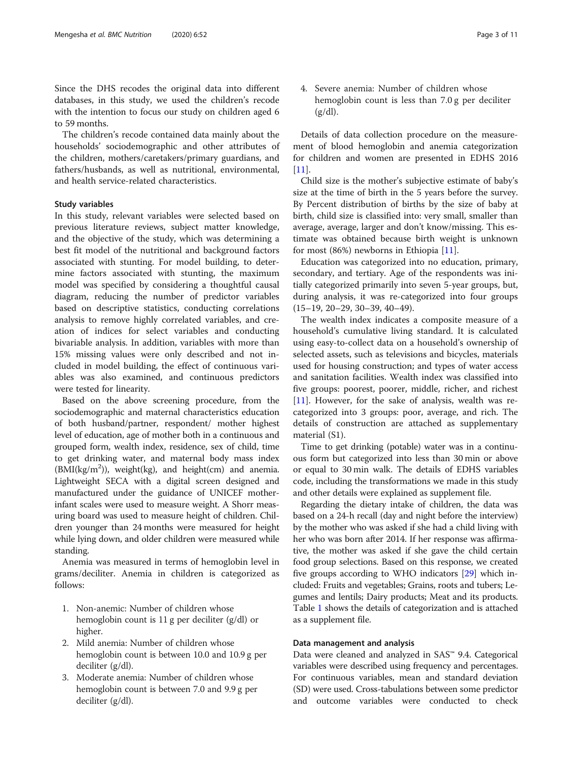Since the DHS recodes the original data into different databases, in this study, we used the children's recode with the intention to focus our study on children aged 6 to 59 months.

The children's recode contained data mainly about the households' sociodemographic and other attributes of the children, mothers/caretakers/primary guardians, and fathers/husbands, as well as nutritional, environmental, and health service-related characteristics.

# Study variables

In this study, relevant variables were selected based on previous literature reviews, subject matter knowledge, and the objective of the study, which was determining a best fit model of the nutritional and background factors associated with stunting. For model building, to determine factors associated with stunting, the maximum model was specified by considering a thoughtful causal diagram, reducing the number of predictor variables based on descriptive statistics, conducting correlations analysis to remove highly correlated variables, and creation of indices for select variables and conducting bivariable analysis. In addition, variables with more than 15% missing values were only described and not included in model building, the effect of continuous variables was also examined, and continuous predictors were tested for linearity.

Based on the above screening procedure, from the sociodemographic and maternal characteristics education of both husband/partner, respondent/ mother highest level of education, age of mother both in a continuous and grouped form, wealth index, residence, sex of child, time to get drinking water, and maternal body mass index  $(BMI(kg/m^2))$ , weight(kg), and height(cm) and anemia. Lightweight SECA with a digital screen designed and manufactured under the guidance of UNICEF motherinfant scales were used to measure weight. A Shorr measuring board was used to measure height of children. Children younger than 24 months were measured for height while lying down, and older children were measured while standing.

Anemia was measured in terms of hemoglobin level in grams/deciliter. Anemia in children is categorized as follows:

- 1. Non-anemic: Number of children whose hemoglobin count is 11 g per deciliter (g/dl) or higher.
- 2. Mild anemia: Number of children whose hemoglobin count is between 10.0 and 10.9 g per deciliter (g/dl).
- 3. Moderate anemia: Number of children whose hemoglobin count is between 7.0 and 9.9 g per deciliter (g/dl).

4. Severe anemia: Number of children whose hemoglobin count is less than 7.0 g per deciliter  $(g/dl)$ .

Details of data collection procedure on the measurement of blood hemoglobin and anemia categorization for children and women are presented in EDHS 2016  $[11]$  $[11]$ .

Child size is the mother's subjective estimate of baby's size at the time of birth in the 5 years before the survey. By Percent distribution of births by the size of baby at birth, child size is classified into: very small, smaller than average, average, larger and don't know/missing. This estimate was obtained because birth weight is unknown for most (86%) newborns in Ethiopia [\[11\]](#page-10-0).

Education was categorized into no education, primary, secondary, and tertiary. Age of the respondents was initially categorized primarily into seven 5-year groups, but, during analysis, it was re-categorized into four groups (15–19, 20–29, 30–39, 40–49).

The wealth index indicates a composite measure of a household's cumulative living standard. It is calculated using easy-to-collect data on a household's ownership of selected assets, such as televisions and bicycles, materials used for housing construction; and types of water access and sanitation facilities. Wealth index was classified into five groups: poorest, poorer, middle, richer, and richest [[11\]](#page-10-0). However, for the sake of analysis, wealth was recategorized into 3 groups: poor, average, and rich. The details of construction are attached as supplementary material (S1).

Time to get drinking (potable) water was in a continuous form but categorized into less than 30 min or above or equal to 30 min walk. The details of EDHS variables code, including the transformations we made in this study and other details were explained as supplement file.

Regarding the dietary intake of children, the data was based on a 24-h recall (day and night before the interview) by the mother who was asked if she had a child living with her who was born after 2014. If her response was affirmative, the mother was asked if she gave the child certain food group selections. Based on this response, we created five groups according to WHO indicators [\[29\]](#page-10-0) which included: Fruits and vegetables; Grains, roots and tubers; Legumes and lentils; Dairy products; Meat and its products. Table [1](#page-3-0) shows the details of categorization and is attached as a supplement file.

#### Data management and analysis

Data were cleaned and analyzed in SAS™ 9.4. Categorical variables were described using frequency and percentages. For continuous variables, mean and standard deviation (SD) were used. Cross-tabulations between some predictor and outcome variables were conducted to check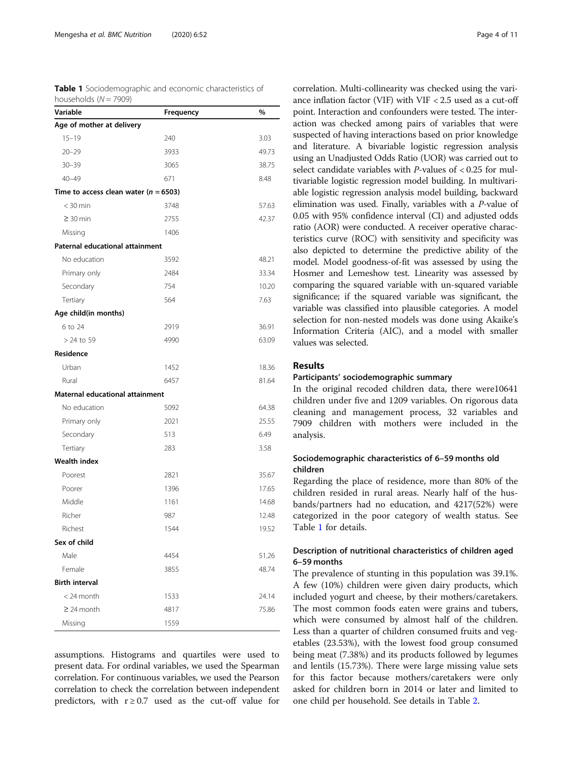<span id="page-3-0"></span>Table 1 Sociodemographic and economic characteristics of

| households ( $N = 7909$ )                 |           |       |
|-------------------------------------------|-----------|-------|
| Variable                                  | Frequency | %     |
| Age of mother at delivery                 |           |       |
| $15 - 19$                                 | 240       | 3.03  |
| $20 - 29$                                 | 3933      | 49.73 |
| $30 - 39$                                 | 3065      | 38.75 |
| $40 - 49$                                 | 671       | 8.48  |
| Time to access clean water ( $n = 6503$ ) |           |       |
| $<$ 30 min                                | 3748      | 57.63 |
| $\geq$ 30 min                             | 2755      | 42.37 |
| Missing                                   | 1406      |       |
| Paternal educational attainment           |           |       |
| No education                              | 3592      | 48.21 |
| Primary only                              | 2484      | 33.34 |
| Secondary                                 | 754       | 10.20 |
| Tertiary                                  | 564       | 7.63  |
| Age child(in months)                      |           |       |
| 6 to 24                                   | 2919      | 36.91 |
| $>$ 24 to 59                              | 4990      | 63.09 |
| Residence                                 |           |       |
| Urban                                     | 1452      | 18.36 |
| Rural                                     | 6457      | 81.64 |
| Maternal educational attainment           |           |       |
| No education                              | 5092      | 64.38 |
| Primary only                              | 2021      | 25.55 |
| Secondary                                 | 513       | 6.49  |
| Tertiary                                  | 283       | 3.58  |
| <b>Wealth index</b>                       |           |       |
| Poorest                                   | 2821      | 35.67 |
| Poorer                                    | 1396      | 17.65 |
| Middle                                    | 1161      | 14.68 |
| Richer                                    | 987       | 12.48 |
| Richest                                   | 1544      | 19.52 |
| Sex of child                              |           |       |
| Male                                      | 4454      | 51.26 |
| Female                                    | 3855      | 48.74 |
| <b>Birth interval</b>                     |           |       |
| $<$ 24 month                              | 1533      | 24.14 |
| $\geq$ 24 month                           | 4817      | 75.86 |
| Missing                                   | 1559      |       |

assumptions. Histograms and quartiles were used to present data. For ordinal variables, we used the Spearman correlation. For continuous variables, we used the Pearson correlation to check the correlation between independent predictors, with  $r \geq 0.7$  used as the cut-off value for

correlation. Multi-collinearity was checked using the variance inflation factor (VIF) with VIF < 2.5 used as a cut-off point. Interaction and confounders were tested. The interaction was checked among pairs of variables that were suspected of having interactions based on prior knowledge and literature. A bivariable logistic regression analysis using an Unadjusted Odds Ratio (UOR) was carried out to select candidate variables with  $P$ -values of < 0.25 for multivariable logistic regression model building. In multivariable logistic regression analysis model building, backward elimination was used. Finally, variables with a P-value of 0.05 with 95% confidence interval (CI) and adjusted odds ratio (AOR) were conducted. A receiver operative characteristics curve (ROC) with sensitivity and specificity was also depicted to determine the predictive ability of the model. Model goodness-of-fit was assessed by using the Hosmer and Lemeshow test. Linearity was assessed by comparing the squared variable with un-squared variable significance; if the squared variable was significant, the variable was classified into plausible categories. A model selection for non-nested models was done using Akaike's Information Criteria (AIC), and a model with smaller values was selected.

# Results

### Participants' sociodemographic summary

In the original recoded children data, there were10641 children under five and 1209 variables. On rigorous data cleaning and management process, 32 variables and 7909 children with mothers were included in the analysis.

# Sociodemographic characteristics of 6–59 months old children

Regarding the place of residence, more than 80% of the children resided in rural areas. Nearly half of the husbands/partners had no education, and 4217(52%) were categorized in the poor category of wealth status. See Table 1 for details.

# Description of nutritional characteristics of children aged 6–59 months

The prevalence of stunting in this population was 39.1%. A few (10%) children were given dairy products, which included yogurt and cheese, by their mothers/caretakers. The most common foods eaten were grains and tubers, which were consumed by almost half of the children. Less than a quarter of children consumed fruits and vegetables (23.53%), with the lowest food group consumed being meat (7.38%) and its products followed by legumes and lentils (15.73%). There were large missing value sets for this factor because mothers/caretakers were only asked for children born in 2014 or later and limited to one child per household. See details in Table [2.](#page-4-0)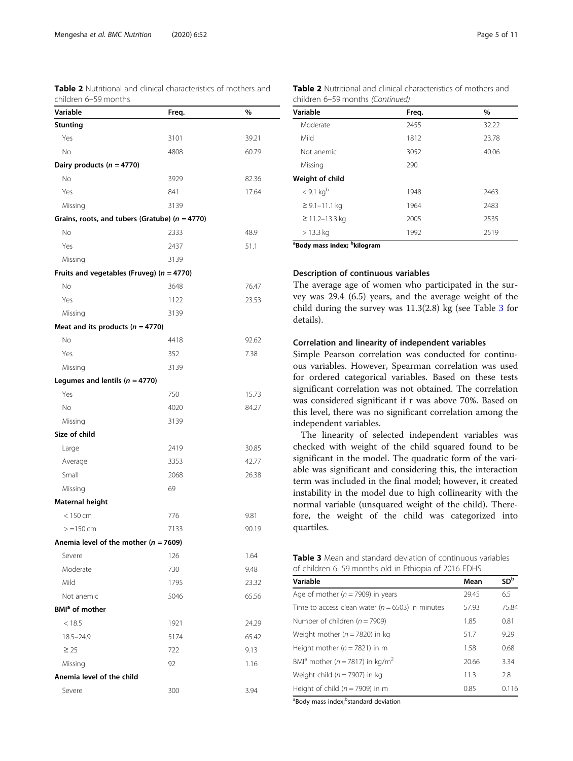<span id="page-4-0"></span>Table 2 Nutritional and clinical characteristics of mothers and

| children 6-59 months                               |       |       |
|----------------------------------------------------|-------|-------|
| Variable                                           | Freq. | %     |
| <b>Stunting</b>                                    |       |       |
| Yes                                                | 3101  | 39.21 |
| No                                                 | 4808  | 60.79 |
| Dairy products ( $n = 4770$ )                      |       |       |
| No                                                 | 3929  | 82.36 |
| Yes                                                | 841   | 17.64 |
| Missing                                            | 3139  |       |
| Grains, roots, and tubers (Gratube) ( $n = 4770$ ) |       |       |
| No                                                 | 2333  | 48.9  |
| Yes                                                | 2437  | 51.1  |
| Missing                                            | 3139  |       |
| Fruits and vegetables (Fruveg) ( $n = 4770$ )      |       |       |
| No                                                 | 3648  | 76.47 |
| Yes                                                | 1122  | 23.53 |
| Missing                                            | 3139  |       |
| Meat and its products ( $n = 4770$ )               |       |       |
| No                                                 | 4418  | 92.62 |
| Yes                                                | 352   | 7.38  |
| Missing                                            | 3139  |       |
| Legumes and lentils ( $n = 4770$ )                 |       |       |
| Yes                                                | 750   | 15.73 |
| No                                                 | 4020  | 84.27 |
| Missing                                            | 3139  |       |
| Size of child                                      |       |       |
| Large                                              | 2419  | 30.85 |
| Average                                            | 3353  | 42.77 |
| Small                                              | 2068  | 26.38 |
| Missing                                            | 69    |       |
| Maternal height                                    |       |       |
| $< 150$ cm                                         | 776   | 9.81  |
| $> = 150$ cm                                       | 7133  | 90.19 |
| Anemia level of the mother ( $n = 7609$ )          |       |       |
| Severe                                             | 126   | 1.64  |
| Moderate                                           | 730   | 9.48  |
| Mild                                               | 1795  | 23.32 |
| Not anemic                                         | 5046  | 65.56 |
| BMI <sup>a</sup> of mother                         |       |       |
| < 18.5                                             | 1921  | 24.29 |
| $18.5 - 24.9$                                      | 5174  | 65.42 |
| $\geq 25$                                          | 722   | 9.13  |
| Missing                                            | 92    | 1.16  |
| Anemia level of the child                          |       |       |
| Severe                                             | 300   | 3.94  |

| <b>Table 2</b> Nutritional and clinical characteristics of mothers and |  |  |  |
|------------------------------------------------------------------------|--|--|--|
| children 6–59 months (Continued)                                       |  |  |  |

| Variable                                            | Freq. | $\%$  |
|-----------------------------------------------------|-------|-------|
| Moderate                                            | 2455  | 32.22 |
| Mild                                                | 1812  | 23.78 |
| Not anemic                                          | 3052  | 40.06 |
| Missing                                             | 290   |       |
| Weight of child                                     |       |       |
| < 9.1 kg <sup>b</sup>                               | 1948  | 2463  |
| $\geq$ 9.1–11.1 kg                                  | 1964  | 2483  |
| $≥ 11.2 - 13.3$ kg                                  | 2005  | 2535  |
| $> 13.3$ kg                                         | 1992  | 2519  |
| <sup>a</sup> Body mass index; <sup>b</sup> kilogram |       |       |

#### Description of continuous variables

The average age of women who participated in the survey was 29.4 (6.5) years, and the average weight of the child during the survey was 11.3(2.8) kg (see Table 3 for details).

#### Correlation and linearity of independent variables

Simple Pearson correlation was conducted for continuous variables. However, Spearman correlation was used for ordered categorical variables. Based on these tests significant correlation was not obtained. The correlation was considered significant if r was above 70%. Based on this level, there was no significant correlation among the independent variables.

The linearity of selected independent variables was checked with weight of the child squared found to be significant in the model. The quadratic form of the variable was significant and considering this, the interaction term was included in the final model; however, it created instability in the model due to high collinearity with the normal variable (unsquared weight of the child). Therefore, the weight of the child was categorized into quartiles.

|  | <b>Table 3</b> Mean and standard deviation of continuous variables |  |
|--|--------------------------------------------------------------------|--|
|  | of children 6–59 months old in Ethiopia of 2016 EDHS               |  |

| Variable                                                | Mean  | SD <sup>b</sup> |
|---------------------------------------------------------|-------|-----------------|
| Age of mother ( $n = 7909$ ) in years                   | 29.45 | 6.5             |
| Time to access clean water ( $n = 6503$ ) in minutes    | 57.93 | 75.84           |
| Number of children ( $n = 7909$ )                       | 1.85  | 0.81            |
| Weight mother ( $n = 7820$ ) in kg                      | 51.7  | 9.29            |
| Height mother ( $n = 7821$ ) in m                       | 1.58  | 0.68            |
| BMI <sup>a</sup> mother (n = 7817) in kg/m <sup>2</sup> | 20.66 | 3.34            |
| Weight child ( $n = 7907$ ) in kg                       | 11.3  | 2.8             |
| Height of child ( $n = 7909$ ) in m                     | 0.85  | 0.116           |

<sup>a</sup>Body mass index;<sup>b</sup>standard deviation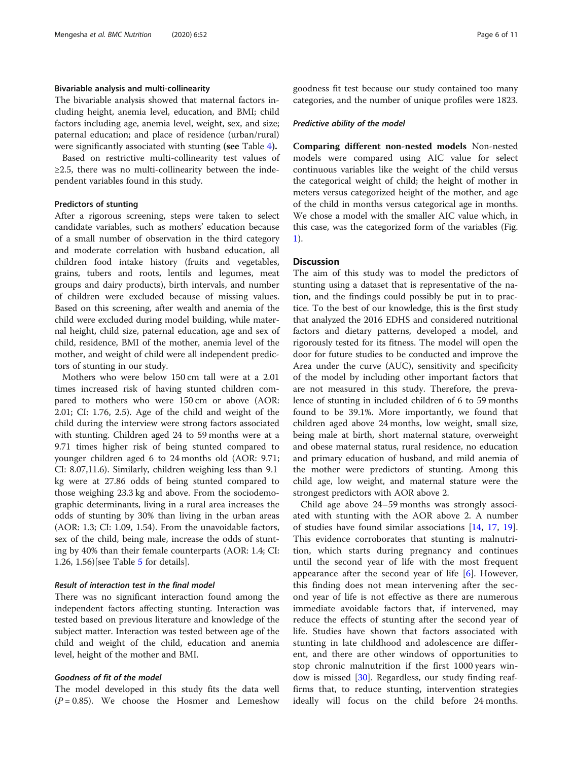#### Bivariable analysis and multi-collinearity

The bivariable analysis showed that maternal factors including height, anemia level, education, and BMI; child factors including age, anemia level, weight, sex, and size; paternal education; and place of residence (urban/rural) were significantly associated with stunting (see Table [4](#page-6-0)).

Based on restrictive multi-collinearity test values of  $\geq$ 2.5, there was no multi-collinearity between the independent variables found in this study.

#### Predictors of stunting

After a rigorous screening, steps were taken to select candidate variables, such as mothers' education because of a small number of observation in the third category and moderate correlation with husband education, all children food intake history (fruits and vegetables, grains, tubers and roots, lentils and legumes, meat groups and dairy products), birth intervals, and number of children were excluded because of missing values. Based on this screening, after wealth and anemia of the child were excluded during model building, while maternal height, child size, paternal education, age and sex of child, residence, BMI of the mother, anemia level of the mother, and weight of child were all independent predictors of stunting in our study.

Mothers who were below 150 cm tall were at a 2.01 times increased risk of having stunted children compared to mothers who were 150 cm or above (AOR: 2.01; CI: 1.76, 2.5). Age of the child and weight of the child during the interview were strong factors associated with stunting. Children aged 24 to 59 months were at a 9.71 times higher risk of being stunted compared to younger children aged 6 to 24 months old (AOR: 9.71; CI: 8.07,11.6). Similarly, children weighing less than 9.1 kg were at 27.86 odds of being stunted compared to those weighing 23.3 kg and above. From the sociodemographic determinants, living in a rural area increases the odds of stunting by 30% than living in the urban areas (AOR: 1.3; CI: 1.09, 1.54). From the unavoidable factors, sex of the child, being male, increase the odds of stunting by 40% than their female counterparts (AOR: 1.4; CI: 1.26, 1.56)[see Table [5](#page-8-0) for details].

#### Result of interaction test in the final model

There was no significant interaction found among the independent factors affecting stunting. Interaction was tested based on previous literature and knowledge of the subject matter. Interaction was tested between age of the child and weight of the child, education and anemia level, height of the mother and BMI.

## Goodness of fit of the model

The model developed in this study fits the data well  $(P = 0.85)$ . We choose the Hosmer and Lemeshow goodness fit test because our study contained too many categories, and the number of unique profiles were 1823.

#### Predictive ability of the model

Comparing different non-nested models Non-nested models were compared using AIC value for select continuous variables like the weight of the child versus the categorical weight of child; the height of mother in meters versus categorized height of the mother, and age of the child in months versus categorical age in months. We chose a model with the smaller AIC value which, in this case, was the categorized form of the variables (Fig. [1\)](#page-8-0).

#### **Discussion**

The aim of this study was to model the predictors of stunting using a dataset that is representative of the nation, and the findings could possibly be put in to practice. To the best of our knowledge, this is the first study that analyzed the 2016 EDHS and considered nutritional factors and dietary patterns, developed a model, and rigorously tested for its fitness. The model will open the door for future studies to be conducted and improve the Area under the curve (AUC), sensitivity and specificity of the model by including other important factors that are not measured in this study. Therefore, the prevalence of stunting in included children of 6 to 59 months found to be 39.1%. More importantly, we found that children aged above 24 months, low weight, small size, being male at birth, short maternal stature, overweight and obese maternal status, rural residence, no education and primary education of husband, and mild anemia of the mother were predictors of stunting. Among this child age, low weight, and maternal stature were the strongest predictors with AOR above 2.

Child age above 24–59 months was strongly associated with stunting with the AOR above 2. A number of studies have found similar associations [[14,](#page-10-0) [17,](#page-10-0) [19](#page-10-0)]. This evidence corroborates that stunting is malnutrition, which starts during pregnancy and continues until the second year of life with the most frequent appearance after the second year of life [\[6](#page-9-0)]. However, this finding does not mean intervening after the second year of life is not effective as there are numerous immediate avoidable factors that, if intervened, may reduce the effects of stunting after the second year of life. Studies have shown that factors associated with stunting in late childhood and adolescence are different, and there are other windows of opportunities to stop chronic malnutrition if the first 1000 years window is missed [\[30](#page-10-0)]. Regardless, our study finding reaffirms that, to reduce stunting, intervention strategies ideally will focus on the child before 24 months.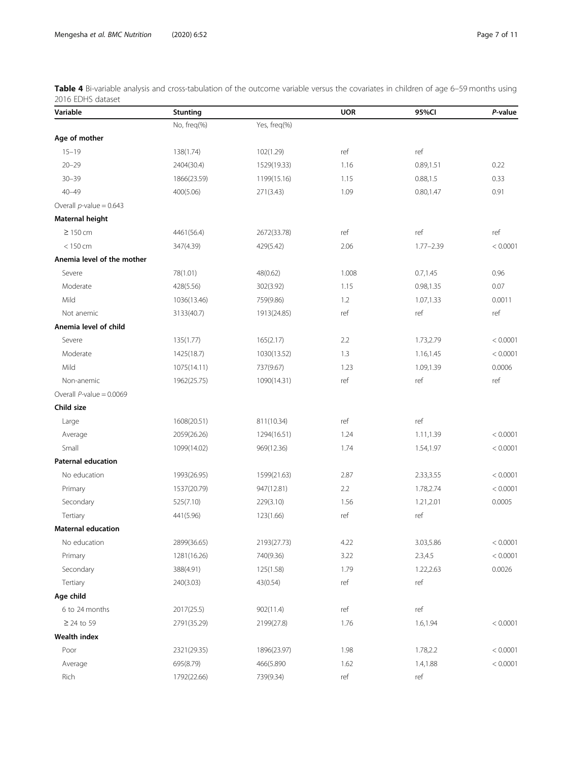<span id="page-6-0"></span>

| Table 4 Bi-variable analysis and cross-tabulation of the outcome variable versus the covariates in children of age 6–59 months using |  |  |
|--------------------------------------------------------------------------------------------------------------------------------------|--|--|
| 2016 EDHS dataset                                                                                                                    |  |  |

| Variable                    | <b>Stunting</b> |              | <b>UOR</b> | 95%CI         | P-value  |
|-----------------------------|-----------------|--------------|------------|---------------|----------|
|                             | No, freq(%)     | Yes, freq(%) |            |               |          |
| Age of mother               |                 |              |            |               |          |
| $15 - 19$                   | 138(1.74)       | 102(1.29)    | ref        | ref           |          |
| $20 - 29$                   | 2404(30.4)      | 1529(19.33)  | 1.16       | 0.89,1.51     | 0.22     |
| $30 - 39$                   | 1866(23.59)     | 1199(15.16)  | 1.15       | 0.88, 1.5     | 0.33     |
| $40 - 49$                   | 400(5.06)       | 271(3.43)    | 1.09       | 0.80,1.47     | 0.91     |
| Overall $p$ -value = 0.643  |                 |              |            |               |          |
| Maternal height             |                 |              |            |               |          |
| $\geq 150$ cm               | 4461(56.4)      | 2672(33.78)  | ref        | ref           | ref      |
| $< 150$ cm                  | 347(4.39)       | 429(5.42)    | 2.06       | $1.77 - 2.39$ | < 0.0001 |
| Anemia level of the mother  |                 |              |            |               |          |
| Severe                      | 78(1.01)        | 48(0.62)     | 1.008      | 0.7, 1.45     | 0.96     |
| Moderate                    | 428(5.56)       | 302(3.92)    | 1.15       | 0.98,1.35     | 0.07     |
| Mild                        | 1036(13.46)     | 759(9.86)    | 1.2        | 1.07,1.33     | 0.0011   |
| Not anemic                  | 3133(40.7)      | 1913(24.85)  | ref        | ref           | ref      |
| Anemia level of child       |                 |              |            |               |          |
| Severe                      | 135(1.77)       | 165(2.17)    | 2.2        | 1.73,2.79     | < 0.0001 |
| Moderate                    | 1425(18.7)      | 1030(13.52)  | 1.3        | 1.16,1.45     | < 0.0001 |
| Mild                        | 1075(14.11)     | 737(9.67)    | 1.23       | 1.09,1.39     | 0.0006   |
| Non-anemic                  | 1962(25.75)     | 1090(14.31)  | ref        | ref           | ref      |
| Overall $P$ -value = 0.0069 |                 |              |            |               |          |
| Child size                  |                 |              |            |               |          |
| Large                       | 1608(20.51)     | 811(10.34)   | ref        | ref           |          |
| Average                     | 2059(26.26)     | 1294(16.51)  | 1.24       | 1.11,1.39     | < 0.0001 |
| Small                       | 1099(14.02)     | 969(12.36)   | 1.74       | 1.54,1.97     | < 0.0001 |
| <b>Paternal education</b>   |                 |              |            |               |          |
| No education                | 1993(26.95)     | 1599(21.63)  | 2.87       | 2.33,3.55     | < 0.0001 |
| Primary                     | 1537(20.79)     | 947(12.81)   | 2.2        | 1.78,2.74     | < 0.0001 |
| Secondary                   | 525(7.10)       | 229(3.10)    | 1.56       | 1.21,2.01     | 0.0005   |
| Tertiary                    | 441(5.96)       | 123(1.66)    | ref        | ref           |          |
| <b>Maternal education</b>   |                 |              |            |               |          |
| No education                | 2899(36.65)     | 2193(27.73)  | 4.22       | 3.03,5.86     | < 0.0001 |
| Primary                     | 1281(16.26)     | 740(9.36)    | 3.22       | 2.3,4.5       | < 0.0001 |
| Secondary                   | 388(4.91)       | 125(1.58)    | 1.79       | 1.22,2.63     | 0.0026   |
| Tertiary                    | 240(3.03)       | 43(0.54)     | ref        | ref           |          |
| Age child                   |                 |              |            |               |          |
| 6 to 24 months              | 2017(25.5)      | 902(11.4)    | ref        | ref           |          |
| $\geq$ 24 to 59             | 2791(35.29)     | 2199(27.8)   | 1.76       | 1.6,1.94      | < 0.0001 |
| <b>Wealth index</b>         |                 |              |            |               |          |
| Poor                        | 2321(29.35)     | 1896(23.97)  | 1.98       | 1.78,2.2      | < 0.0001 |
| Average                     | 695(8.79)       | 466(5.890    | 1.62       | 1.4,1.88      | < 0.0001 |
| Rich                        | 1792(22.66)     | 739(9.34)    | ref        | ref           |          |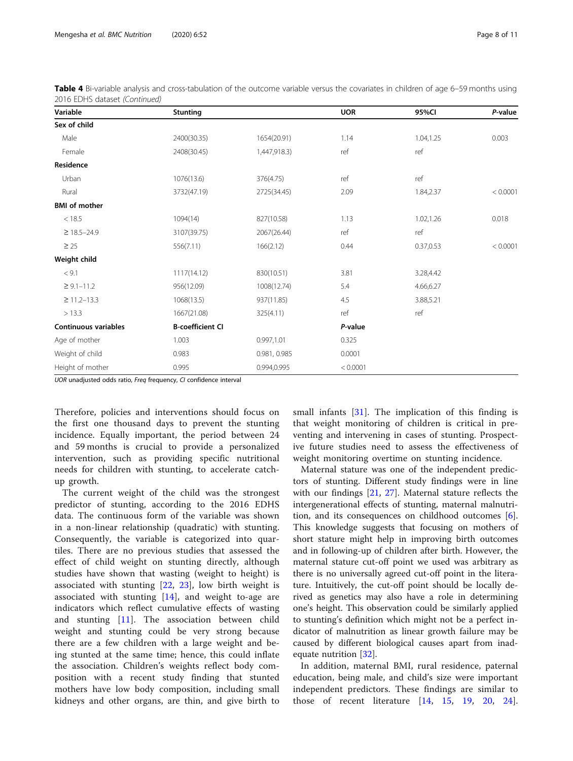| Variable                    | <b>Stunting</b>         |              | <b>UOR</b> | 95%CI     | P-value  |
|-----------------------------|-------------------------|--------------|------------|-----------|----------|
| Sex of child                |                         |              |            |           |          |
| Male                        | 2400(30.35)             | 1654(20.91)  | 1.14       | 1.04,1.25 | 0.003    |
| Female                      | 2408(30.45)             | 1,447,918.3) | ref        | ref       |          |
| Residence                   |                         |              |            |           |          |
| Urban                       | 1076(13.6)              | 376(4.75)    | ref        | ref       |          |
| Rural                       | 3732(47.19)             | 2725(34.45)  | 2.09       | 1.84,2.37 | < 0.0001 |
| <b>BMI</b> of mother        |                         |              |            |           |          |
| < 18.5                      | 1094(14)                | 827(10.58)   | 1.13       | 1.02,1.26 | 0.018    |
| $\geq$ 18.5-24.9            | 3107(39.75)             | 2067(26.44)  | ref        | ref       |          |
| $\geq$ 25                   | 556(7.11)               | 166(2.12)    | 0.44       | 0.37,0.53 | < 0.0001 |
| Weight child                |                         |              |            |           |          |
| < 9.1                       | 1117(14.12)             | 830(10.51)   | 3.81       | 3.28,4.42 |          |
| $\geq 9.1 - 11.2$           | 956(12.09)              | 1008(12.74)  | 5.4        | 4.66,6.27 |          |
| $\geq$ 11.2-13.3            | 1068(13.5)              | 937(11.85)   | 4.5        | 3.88,5.21 |          |
| > 13.3                      | 1667(21.08)             | 325(4.11)    | ref        | ref       |          |
| <b>Continuous variables</b> | <b>B-coefficient CI</b> |              | P-value    |           |          |
| Age of mother               | 1.003                   | 0.997,1.01   | 0.325      |           |          |
| Weight of child             | 0.983                   | 0.981, 0.985 | 0.0001     |           |          |
| Height of mother            | 0.995                   | 0.994,0.995  | < 0.0001   |           |          |

Table 4 Bi-variable analysis and cross-tabulation of the outcome variable versus the covariates in children of age 6–59 months using 2016 EDHS dataset (Continued)

UOR unadjusted odds ratio, Freq frequency, CI confidence interval

Therefore, policies and interventions should focus on the first one thousand days to prevent the stunting incidence. Equally important, the period between 24 and 59 months is crucial to provide a personalized intervention, such as providing specific nutritional needs for children with stunting, to accelerate catchup growth.

The current weight of the child was the strongest predictor of stunting, according to the 2016 EDHS data. The continuous form of the variable was shown in a non-linear relationship (quadratic) with stunting. Consequently, the variable is categorized into quartiles. There are no previous studies that assessed the effect of child weight on stunting directly, although studies have shown that wasting (weight to height) is associated with stunting [\[22](#page-10-0), [23](#page-10-0)], low birth weight is associated with stunting  $[14]$  $[14]$ , and weight to-age are indicators which reflect cumulative effects of wasting and stunting [[11\]](#page-10-0). The association between child weight and stunting could be very strong because there are a few children with a large weight and being stunted at the same time; hence, this could inflate the association. Children's weights reflect body composition with a recent study finding that stunted mothers have low body composition, including small kidneys and other organs, are thin, and give birth to

small infants [[31\]](#page-10-0). The implication of this finding is that weight monitoring of children is critical in preventing and intervening in cases of stunting. Prospective future studies need to assess the effectiveness of weight monitoring overtime on stunting incidence.

Maternal stature was one of the independent predictors of stunting. Different study findings were in line with our findings [\[21](#page-10-0), [27](#page-10-0)]. Maternal stature reflects the intergenerational effects of stunting, maternal malnutrition, and its consequences on childhood outcomes [\[6](#page-9-0)]. This knowledge suggests that focusing on mothers of short stature might help in improving birth outcomes and in following-up of children after birth. However, the maternal stature cut-off point we used was arbitrary as there is no universally agreed cut-off point in the literature. Intuitively, the cut-off point should be locally derived as genetics may also have a role in determining one's height. This observation could be similarly applied to stunting's definition which might not be a perfect indicator of malnutrition as linear growth failure may be caused by different biological causes apart from inadequate nutrition [\[32\]](#page-10-0).

In addition, maternal BMI, rural residence, paternal education, being male, and child's size were important independent predictors. These findings are similar to those of recent literature [\[14](#page-10-0), [15,](#page-10-0) [19,](#page-10-0) [20,](#page-10-0) [24](#page-10-0)].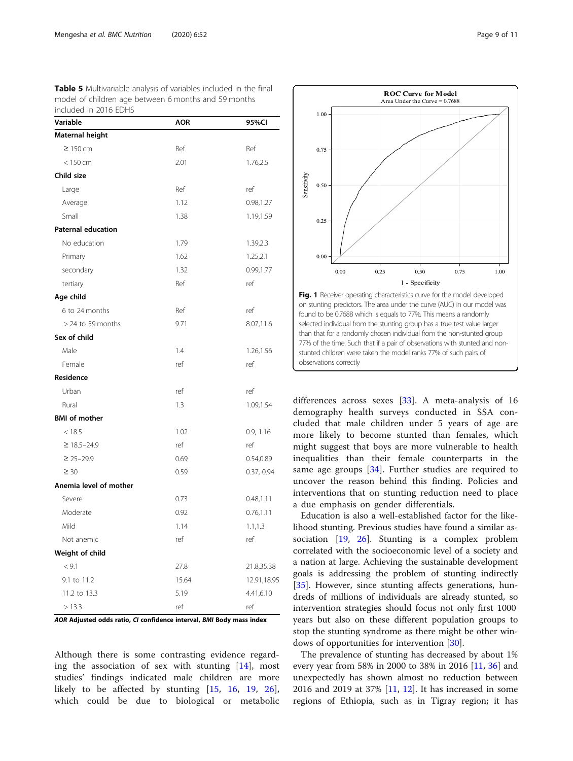<span id="page-8-0"></span>Table 5 Multivariable analysis of variables included in the final model of children age between 6 months and 59 months included in 2016 EDHS

| Variable                  | <b>AOR</b> | 95%CI       |
|---------------------------|------------|-------------|
| Maternal height           |            |             |
| $\geq$ 150 cm             | Ref        | Ref         |
| $< 150$ cm                | 2.01       | 1.76,2.5    |
| Child size                |            |             |
| Large                     | Ref        | ref         |
| Average                   | 1.12       | 0.98,1.27   |
| Small                     | 1.38       | 1.19,1.59   |
| <b>Paternal education</b> |            |             |
| No education              | 1.79       | 1.39,2.3    |
| Primary                   | 1.62       | 1.25,2.1    |
| secondary                 | 1.32       | 0.99,1.77   |
| tertiary                  | Ref        | ref         |
| Age child                 |            |             |
| 6 to 24 months            | Ref        | ref         |
| $> 24$ to 59 months       | 9.71       | 8.07,11.6   |
| Sex of child              |            |             |
| Male                      | 1.4        | 1.26,1.56   |
| Female                    | ref        | ref         |
| Residence                 |            |             |
| Urban                     | ref        | ref         |
| Rural                     | 1.3        | 1.09,1.54   |
| <b>BMI</b> of mother      |            |             |
| < 18.5                    | 1.02       | 0.9, 1.16   |
| $\geq$ 18.5-24.9          | ref        | ref         |
| $\geq$ 25-29.9            | 0.69       | 0.54,0.89   |
| $\geq 30$                 | 0.59       | 0.37, 0.94  |
| Anemia level of mother    |            |             |
| Severe                    | 0.73       | 0.48, 1.11  |
| Moderate                  | 0.92       | 0.76, 1.11  |
| Mild                      | 1.14       | 1.1, 1.3    |
| Not anemic                | ref        | ref         |
| Weight of child           |            |             |
| < 9.1                     | 27.8       | 21.8,35.38  |
| 9.1 to 11.2               | 15.64      | 12.91,18.95 |
| 11.2 to 13.3              | 5.19       | 4.41,6.10   |
| >13.3                     | ref        | ref         |

AOR Adjusted odds ratio, CI confidence interval, BMI Body mass index

Although there is some contrasting evidence regarding the association of sex with stunting  $[14]$  $[14]$ , most studies' findings indicated male children are more likely to be affected by stunting [[15,](#page-10-0) [16,](#page-10-0) [19](#page-10-0), [26](#page-10-0)], which could be due to biological or metabolic



differences across sexes [[33](#page-10-0)]. A meta-analysis of 16 demography health surveys conducted in SSA concluded that male children under 5 years of age are more likely to become stunted than females, which might suggest that boys are more vulnerable to health inequalities than their female counterparts in the same age groups  $[34]$  $[34]$ . Further studies are required to uncover the reason behind this finding. Policies and interventions that on stunting reduction need to place a due emphasis on gender differentials.

Education is also a well-established factor for the likelihood stunting. Previous studies have found a similar association [[19,](#page-10-0) [26](#page-10-0)]. Stunting is a complex problem correlated with the socioeconomic level of a society and a nation at large. Achieving the sustainable development goals is addressing the problem of stunting indirectly [[35\]](#page-10-0). However, since stunting affects generations, hundreds of millions of individuals are already stunted, so intervention strategies should focus not only first 1000 years but also on these different population groups to stop the stunting syndrome as there might be other windows of opportunities for intervention [[30\]](#page-10-0).

The prevalence of stunting has decreased by about 1% every year from 58% in 2000 to 38% in 2016 [[11](#page-10-0), [36](#page-10-0)] and unexpectedly has shown almost no reduction between 2016 and 2019 at 37% [\[11](#page-10-0), [12\]](#page-10-0). It has increased in some regions of Ethiopia, such as in Tigray region; it has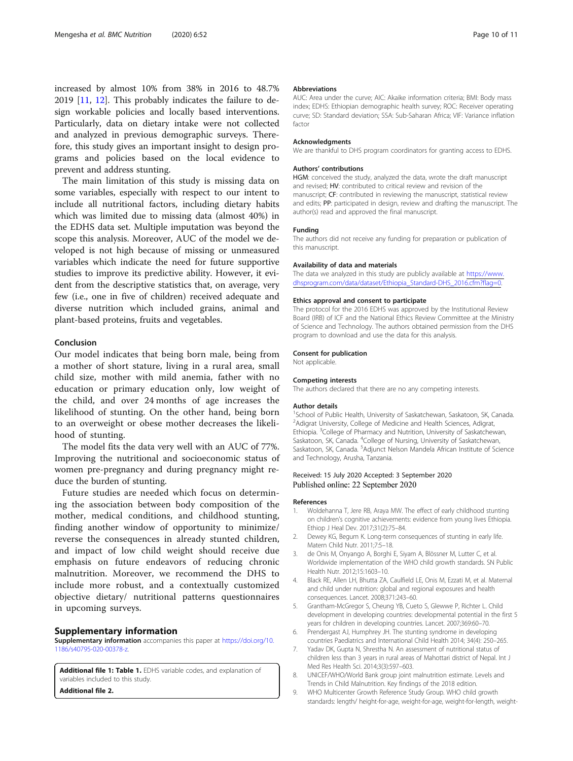<span id="page-9-0"></span>increased by almost 10% from 38% in 2016 to 48.7% 2019 [\[11](#page-10-0), [12\]](#page-10-0). This probably indicates the failure to design workable policies and locally based interventions. Particularly, data on dietary intake were not collected and analyzed in previous demographic surveys. Therefore, this study gives an important insight to design programs and policies based on the local evidence to prevent and address stunting.

The main limitation of this study is missing data on some variables, especially with respect to our intent to include all nutritional factors, including dietary habits which was limited due to missing data (almost 40%) in the EDHS data set. Multiple imputation was beyond the scope this analysis. Moreover, AUC of the model we developed is not high because of missing or unmeasured variables which indicate the need for future supportive studies to improve its predictive ability. However, it evident from the descriptive statistics that, on average, very few (i.e., one in five of children) received adequate and diverse nutrition which included grains, animal and plant-based proteins, fruits and vegetables.

#### Conclusion

Our model indicates that being born male, being from a mother of short stature, living in a rural area, small child size, mother with mild anemia, father with no education or primary education only, low weight of the child, and over 24 months of age increases the likelihood of stunting. On the other hand, being born to an overweight or obese mother decreases the likelihood of stunting.

The model fits the data very well with an AUC of 77%. Improving the nutritional and socioeconomic status of women pre-pregnancy and during pregnancy might reduce the burden of stunting.

Future studies are needed which focus on determining the association between body composition of the mother, medical conditions, and childhood stunting, finding another window of opportunity to minimize/ reverse the consequences in already stunted children, and impact of low child weight should receive due emphasis on future endeavors of reducing chronic malnutrition. Moreover, we recommend the DHS to include more robust, and a contextually customized objective dietary/ nutritional patterns questionnaires in upcoming surveys.

#### Supplementary information

Supplementary information accompanies this paper at [https://doi.org/10.](https://doi.org/10.1186/s40795-020-00378-z) [1186/s40795-020-00378-z.](https://doi.org/10.1186/s40795-020-00378-z)

Additional file 1: Table 1. EDHS variable codes, and explanation of variables included to this study. Additional file 2.

#### Abbreviations

AUC: Area under the curve; AIC: Akaike information criteria; BMI: Body mass index; EDHS: Ethiopian demographic health survey; ROC: Receiver operating curve; SD: Standard deviation; SSA: Sub-Saharan Africa; VIF: Variance inflation factor

#### Acknowledgments

We are thankful to DHS program coordinators for granting access to EDHS.

#### Authors' contributions

HGM: conceived the study, analyzed the data, wrote the draft manuscript and revised; HV: contributed to critical review and revision of the manuscript; CF: contributed in reviewing the manuscript, statistical review and edits; PP: participated in design, review and drafting the manuscript. The author(s) read and approved the final manuscript.

#### Funding

The authors did not receive any funding for preparation or publication of this manuscript.

#### Availability of data and materials

The data we analyzed in this study are publicly available at [https://www.](https://www.dhsprogram.com/data/dataset/Ethiopia_Standard-DHS_2016.cfm?flag=0) [dhsprogram.com/data/dataset/Ethiopia\\_Standard-DHS\\_2016.cfm?flag=0](https://www.dhsprogram.com/data/dataset/Ethiopia_Standard-DHS_2016.cfm?flag=0).

#### Ethics approval and consent to participate

The protocol for the 2016 EDHS was approved by the Institutional Review Board (IRB) of ICF and the National Ethics Review Committee at the Ministry of Science and Technology. The authors obtained permission from the DHS program to download and use the data for this analysis.

#### Consent for publication

Not applicable.

#### Competing interests

The authors declared that there are no any competing interests.

#### Author details

<sup>1</sup>School of Public Health, University of Saskatchewan, Saskatoon, SK, Canada. <sup>2</sup> Adigrat University, College of Medicine and Health Sciences, Adigrat Ethiopia. <sup>3</sup>College of Pharmacy and Nutrition, University of Saskatchewan, Saskatoon, SK, Canada. <sup>4</sup>College of Nursing, University of Saskatchewan, Saskatoon, SK, Canada. <sup>5</sup>Adjunct Nelson Mandela African Institute of Science and Technology, Arusha, Tanzania.

#### Received: 15 July 2020 Accepted: 3 September 2020 Published online: 22 September 2020

#### References

- 1. Woldehanna T, Jere RB, Araya MW. The effect of early childhood stunting on children's cognitive achievements: evidence from young lives Ethiopia. Ethiop J Heal Dev. 2017;31(2):75–84.
- 2. Dewey KG, Begum K. Long-term consequences of stunting in early life. Matern Child Nutr. 2011;7:5–18.
- 3. de Onis M, Onyango A, Borghi E, Siyam A, Blössner M, Lutter C, et al. Worldwide implementation of the WHO child growth standards. SN Public Health Nutr. 2012;15:1603–10.
- 4. Black RE, Allen LH, Bhutta ZA, Caulfield LE, Onis M, Ezzati M, et al. Maternal and child under nutrition: global and regional exposures and health consequences. Lancet. 2008;371:243–60.
- 5. Grantham-McGregor S, Cheung YB, Cueto S, Glewwe P, Richter L. Child development in developing countries: developmental potential in the first 5 years for children in developing countries. Lancet. 2007;369:60–70.
- 6. Prendergast AJ, Humphrey JH. The stunting syndrome in developing countries Paediatrics and International Child Health 2014; 34(4): 250–265.
- 7. Yadav DK, Gupta N, Shrestha N. An assessment of nutritional status of children less than 3 years in rural areas of Mahottari district of Nepal. Int J Med Res Health Sci. 2014;3(3):597–603.
- 8. UNICEF/WHO/World Bank group joint malnutrition estimate. Levels and Trends in Child Malnutrition. Key findings of the 2018 edition.
- 9. WHO Multicenter Growth Reference Study Group. WHO child growth standards: length/ height-for-age, weight-for-age, weight-for-length, weight-